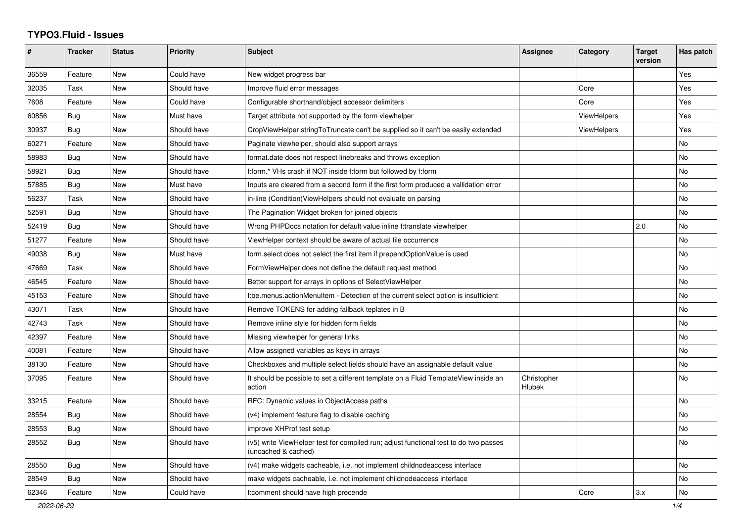## **TYPO3.Fluid - Issues**

| #     | <b>Tracker</b> | <b>Status</b> | <b>Priority</b> | <b>Subject</b>                                                                                              | <b>Assignee</b>       | Category           | <b>Target</b><br>version | Has patch |
|-------|----------------|---------------|-----------------|-------------------------------------------------------------------------------------------------------------|-----------------------|--------------------|--------------------------|-----------|
| 36559 | Feature        | <b>New</b>    | Could have      | New widget progress bar                                                                                     |                       |                    |                          | Yes       |
| 32035 | Task           | <b>New</b>    | Should have     | Improve fluid error messages                                                                                |                       | Core               |                          | Yes       |
| 7608  | Feature        | New           | Could have      | Configurable shorthand/object accessor delimiters                                                           |                       | Core               |                          | Yes       |
| 60856 | Bug            | New           | Must have       | Target attribute not supported by the form viewhelper                                                       |                       | <b>ViewHelpers</b> |                          | Yes       |
| 30937 | Bug            | <b>New</b>    | Should have     | CropViewHelper stringToTruncate can't be supplied so it can't be easily extended                            |                       | <b>ViewHelpers</b> |                          | Yes       |
| 60271 | Feature        | <b>New</b>    | Should have     | Paginate viewhelper, should also support arrays                                                             |                       |                    |                          | No        |
| 58983 | Bug            | New           | Should have     | format.date does not respect linebreaks and throws exception                                                |                       |                    |                          | No        |
| 58921 | Bug            | <b>New</b>    | Should have     | f:form.* VHs crash if NOT inside f:form but followed by f:form                                              |                       |                    |                          | <b>No</b> |
| 57885 | Bug            | <b>New</b>    | Must have       | Inputs are cleared from a second form if the first form produced a vallidation error                        |                       |                    |                          | No        |
| 56237 | Task           | New           | Should have     | in-line (Condition)ViewHelpers should not evaluate on parsing                                               |                       |                    |                          | No        |
| 52591 | Bug            | New           | Should have     | The Pagination Widget broken for joined objects                                                             |                       |                    |                          | No        |
| 52419 | Bug            | <b>New</b>    | Should have     | Wrong PHPDocs notation for default value inline f:translate viewhelper                                      |                       |                    | 2.0                      | No        |
| 51277 | Feature        | <b>New</b>    | Should have     | ViewHelper context should be aware of actual file occurrence                                                |                       |                    |                          | No        |
| 49038 | Bug            | New           | Must have       | form select does not select the first item if prependOptionValue is used                                    |                       |                    |                          | No        |
| 47669 | Task           | <b>New</b>    | Should have     | FormViewHelper does not define the default request method                                                   |                       |                    |                          | No        |
| 46545 | Feature        | New           | Should have     | Better support for arrays in options of SelectViewHelper                                                    |                       |                    |                          | No        |
| 45153 | Feature        | <b>New</b>    | Should have     | f:be.menus.actionMenuItem - Detection of the current select option is insufficient                          |                       |                    |                          | <b>No</b> |
| 43071 | Task           | New           | Should have     | Remove TOKENS for adding fallback teplates in B                                                             |                       |                    |                          | No        |
| 42743 | Task           | New           | Should have     | Remove inline style for hidden form fields                                                                  |                       |                    |                          | <b>No</b> |
| 42397 | Feature        | New           | Should have     | Missing viewhelper for general links                                                                        |                       |                    |                          | No        |
| 40081 | Feature        | New           | Should have     | Allow assigned variables as keys in arrays                                                                  |                       |                    |                          | No        |
| 38130 | Feature        | <b>New</b>    | Should have     | Checkboxes and multiple select fields should have an assignable default value                               |                       |                    |                          | No        |
| 37095 | Feature        | <b>New</b>    | Should have     | It should be possible to set a different template on a Fluid TemplateView inside an<br>action               | Christopher<br>Hlubek |                    |                          | <b>No</b> |
| 33215 | Feature        | <b>New</b>    | Should have     | RFC: Dynamic values in ObjectAccess paths                                                                   |                       |                    |                          | No        |
| 28554 | <b>Bug</b>     | <b>New</b>    | Should have     | (v4) implement feature flag to disable caching                                                              |                       |                    |                          | No        |
| 28553 | Bug            | <b>New</b>    | Should have     | improve XHProf test setup                                                                                   |                       |                    |                          | No        |
| 28552 | Bug            | <b>New</b>    | Should have     | (v5) write ViewHelper test for compiled run; adjust functional test to do two passes<br>(uncached & cached) |                       |                    |                          | No        |
| 28550 | Bug            | <b>New</b>    | Should have     | (v4) make widgets cacheable, i.e. not implement childnodeaccess interface                                   |                       |                    |                          | No        |
| 28549 | Bug            | <b>New</b>    | Should have     | make widgets cacheable, i.e. not implement childnodeaccess interface                                        |                       |                    |                          | No        |
| 62346 | Feature        | <b>New</b>    | Could have      | f:comment should have high precende                                                                         |                       | Core               | 3.x                      | No        |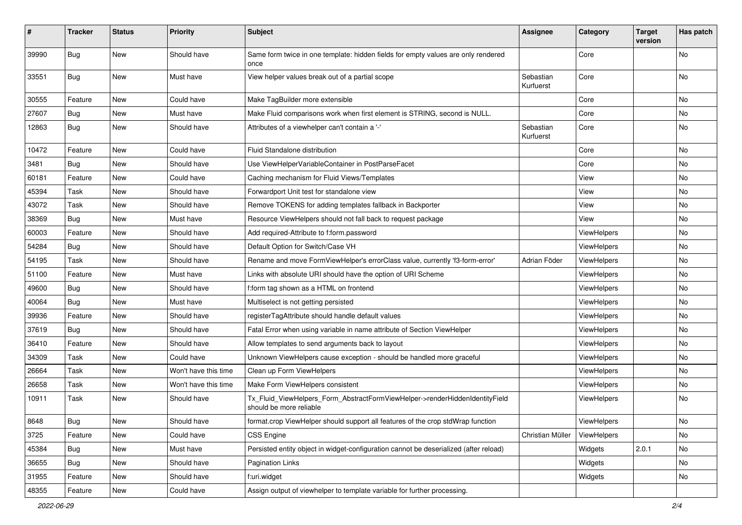| #     | <b>Tracker</b> | <b>Status</b> | <b>Priority</b>      | Subject                                                                                                | <b>Assignee</b>        | Category    | <b>Target</b><br>version | Has patch |
|-------|----------------|---------------|----------------------|--------------------------------------------------------------------------------------------------------|------------------------|-------------|--------------------------|-----------|
| 39990 | Bug            | New           | Should have          | Same form twice in one template: hidden fields for empty values are only rendered<br>once              |                        | Core        |                          | No        |
| 33551 | Bug            | New           | Must have            | View helper values break out of a partial scope                                                        | Sebastian<br>Kurfuerst | Core        |                          | No        |
| 30555 | Feature        | New           | Could have           | Make TagBuilder more extensible                                                                        |                        | Core        |                          | No        |
| 27607 | Bug            | New           | Must have            | Make Fluid comparisons work when first element is STRING, second is NULL.                              |                        | Core        |                          | No        |
| 12863 | Bug            | New           | Should have          | Attributes of a viewhelper can't contain a '-'                                                         | Sebastian<br>Kurfuerst | Core        |                          | No        |
| 10472 | Feature        | New           | Could have           | Fluid Standalone distribution                                                                          |                        | Core        |                          | No        |
| 3481  | Bug            | New           | Should have          | Use ViewHelperVariableContainer in PostParseFacet                                                      |                        | Core        |                          | No        |
| 60181 | Feature        | New           | Could have           | Caching mechanism for Fluid Views/Templates                                                            |                        | View        |                          | No        |
| 45394 | Task           | New           | Should have          | Forwardport Unit test for standalone view                                                              |                        | View        |                          | No        |
| 43072 | Task           | New           | Should have          | Remove TOKENS for adding templates fallback in Backporter                                              |                        | View        |                          | No        |
| 38369 | Bug            | New           | Must have            | Resource ViewHelpers should not fall back to request package                                           |                        | View        |                          | No        |
| 60003 | Feature        | New           | Should have          | Add required-Attribute to f:form.password                                                              |                        | ViewHelpers |                          | No        |
| 54284 | Bug            | New           | Should have          | Default Option for Switch/Case VH                                                                      |                        | ViewHelpers |                          | No        |
| 54195 | Task           | New           | Should have          | Rename and move FormViewHelper's errorClass value, currently 'f3-form-error'                           | Adrian Föder           | ViewHelpers |                          | No        |
| 51100 | Feature        | New           | Must have            | Links with absolute URI should have the option of URI Scheme                                           |                        | ViewHelpers |                          | No        |
| 49600 | <b>Bug</b>     | New           | Should have          | f:form tag shown as a HTML on frontend                                                                 |                        | ViewHelpers |                          | No        |
| 40064 | Bug            | New           | Must have            | Multiselect is not getting persisted                                                                   |                        | ViewHelpers |                          | No        |
| 39936 | Feature        | New           | Should have          | registerTagAttribute should handle default values                                                      |                        | ViewHelpers |                          | No        |
| 37619 | Bug            | New           | Should have          | Fatal Error when using variable in name attribute of Section ViewHelper                                |                        | ViewHelpers |                          | No        |
| 36410 | Feature        | New           | Should have          | Allow templates to send arguments back to layout                                                       |                        | ViewHelpers |                          | No        |
| 34309 | Task           | New           | Could have           | Unknown ViewHelpers cause exception - should be handled more graceful                                  |                        | ViewHelpers |                          | No        |
| 26664 | Task           | New           | Won't have this time | Clean up Form ViewHelpers                                                                              |                        | ViewHelpers |                          | No        |
| 26658 | Task           | New           | Won't have this time | Make Form ViewHelpers consistent                                                                       |                        | ViewHelpers |                          | No        |
| 10911 | Task           | New           | Should have          | Tx Fluid ViewHelpers Form AbstractFormViewHelper->renderHiddenIdentityField<br>should be more reliable |                        | ViewHelpers |                          | No        |
| 8648  | <b>Bug</b>     | New           | Should have          | format.crop ViewHelper should support all features of the crop stdWrap function                        |                        | ViewHelpers |                          | No        |
| 3725  | Feature        | New           | Could have           | <b>CSS Engine</b>                                                                                      | Christian Müller       | ViewHelpers |                          | No        |
| 45384 | Bug            | New           | Must have            | Persisted entity object in widget-configuration cannot be deserialized (after reload)                  |                        | Widgets     | 2.0.1                    | No        |
| 36655 | Bug            | New           | Should have          | Pagination Links                                                                                       |                        | Widgets     |                          | No        |
| 31955 | Feature        | New           | Should have          | f:uri.widget                                                                                           |                        | Widgets     |                          | No        |
| 48355 | Feature        | New           | Could have           | Assign output of viewhelper to template variable for further processing.                               |                        |             |                          |           |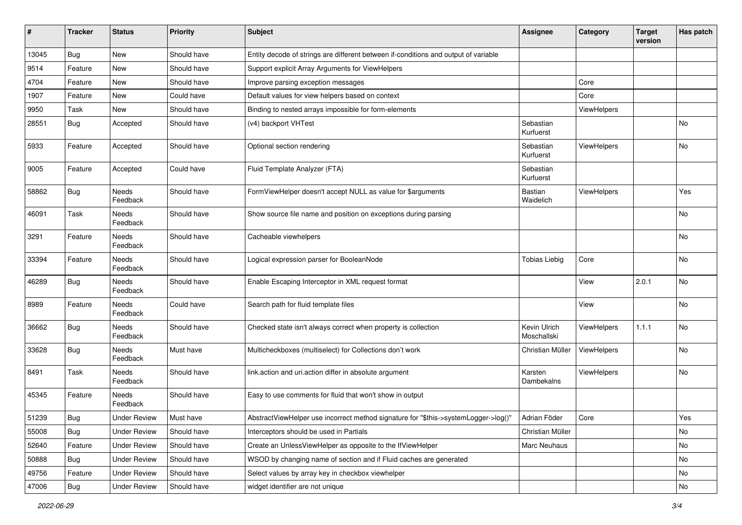| #     | <b>Tracker</b> | <b>Status</b>            | <b>Priority</b> | <b>Subject</b>                                                                      | <b>Assignee</b>             | Category           | <b>Target</b><br>version | <b>Has patch</b> |
|-------|----------------|--------------------------|-----------------|-------------------------------------------------------------------------------------|-----------------------------|--------------------|--------------------------|------------------|
| 13045 | Bug            | New                      | Should have     | Entity decode of strings are different between if-conditions and output of variable |                             |                    |                          |                  |
| 9514  | Feature        | New                      | Should have     | Support explicit Array Arguments for ViewHelpers                                    |                             |                    |                          |                  |
| 4704  | Feature        | New                      | Should have     | Improve parsing exception messages                                                  |                             | Core               |                          |                  |
| 1907  | Feature        | New                      | Could have      | Default values for view helpers based on context                                    |                             | Core               |                          |                  |
| 9950  | Task           | New                      | Should have     | Binding to nested arrays impossible for form-elements                               |                             | ViewHelpers        |                          |                  |
| 28551 | Bug            | Accepted                 | Should have     | (v4) backport VHTest                                                                | Sebastian<br>Kurfuerst      |                    |                          | No               |
| 5933  | Feature        | Accepted                 | Should have     | Optional section rendering                                                          | Sebastian<br>Kurfuerst      | ViewHelpers        |                          | <b>No</b>        |
| 9005  | Feature        | Accepted                 | Could have      | Fluid Template Analyzer (FTA)                                                       | Sebastian<br>Kurfuerst      |                    |                          |                  |
| 58862 | Bug            | <b>Needs</b><br>Feedback | Should have     | FormViewHelper doesn't accept NULL as value for \$arguments                         | Bastian<br>Waidelich        | ViewHelpers        |                          | Yes              |
| 46091 | Task           | Needs<br>Feedback        | Should have     | Show source file name and position on exceptions during parsing                     |                             |                    |                          | No               |
| 3291  | Feature        | Needs<br>Feedback        | Should have     | Cacheable viewhelpers                                                               |                             |                    |                          | <b>No</b>        |
| 33394 | Feature        | Needs<br>Feedback        | Should have     | Logical expression parser for BooleanNode                                           | <b>Tobias Liebig</b>        | Core               |                          | No               |
| 46289 | <b>Bug</b>     | Needs<br>Feedback        | Should have     | Enable Escaping Interceptor in XML request format                                   |                             | View               | 2.0.1                    | No               |
| 8989  | Feature        | Needs<br>Feedback        | Could have      | Search path for fluid template files                                                |                             | View               |                          | No               |
| 36662 | Bug            | Needs<br>Feedback        | Should have     | Checked state isn't always correct when property is collection                      | Kevin Ulrich<br>Moschallski | ViewHelpers        | 1.1.1                    | <b>No</b>        |
| 33628 | Bug            | Needs<br>Feedback        | Must have       | Multicheckboxes (multiselect) for Collections don't work                            | Christian Müller            | ViewHelpers        |                          | No               |
| 8491  | Task           | Needs<br>Feedback        | Should have     | link.action and uri.action differ in absolute argument                              | Karsten<br>Dambekalns       | <b>ViewHelpers</b> |                          | No               |
| 45345 | Feature        | Needs<br>Feedback        | Should have     | Easy to use comments for fluid that won't show in output                            |                             |                    |                          |                  |
| 51239 | Bug            | Under Review             | Must have       | AbstractViewHelper use incorrect method signature for "\$this->systemLogger->log()" | Adrian Föder                | Core               |                          | Yes              |
| 55008 | Bug            | <b>Under Review</b>      | Should have     | Interceptors should be used in Partials                                             | Christian Müller            |                    |                          | No               |
| 52640 | Feature        | <b>Under Review</b>      | Should have     | Create an UnlessViewHelper as opposite to the IfViewHelper                          | Marc Neuhaus                |                    |                          | No               |
| 50888 | <b>Bug</b>     | <b>Under Review</b>      | Should have     | WSOD by changing name of section and if Fluid caches are generated                  |                             |                    |                          | No               |
| 49756 | Feature        | <b>Under Review</b>      | Should have     | Select values by array key in checkbox viewhelper                                   |                             |                    |                          | No               |
| 47006 | Bug            | <b>Under Review</b>      | Should have     | widget identifier are not unique                                                    |                             |                    |                          | No               |